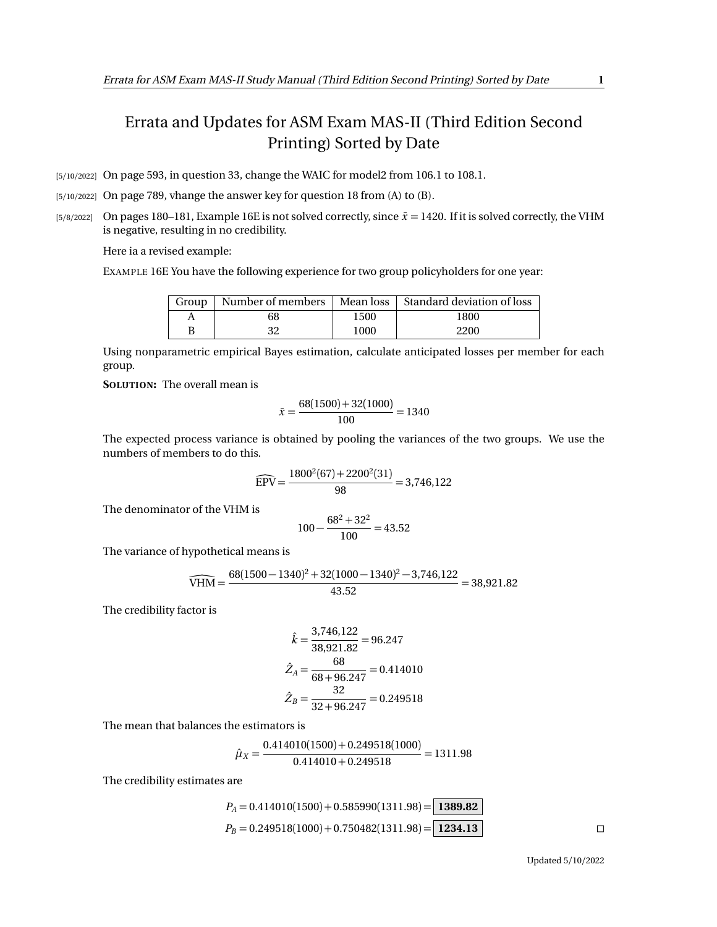## Errata and Updates for ASM Exam MAS-II (Third Edition Second Printing) Sorted by Date

[5/10/2022] On page 593, in question 33, change the WAIC for model2 from 106.1 to 108.1.

[5/10/2022] On page 789, vhange the answer key for question 18 from (A) to (B).

[5/8/2022] On pages 180–181, Example 16E is not solved correctly, since  $\bar{x}$  = 1420. If it is solved correctly, the VHM is negative, resulting in no credibility.

Here ia a revised example:

EXAMPLE 16E You have the following experience for two group policyholders for one year:

| Group | Number of members |      | Mean loss   Standard deviation of loss |
|-------|-------------------|------|----------------------------------------|
|       | 68                | 1500 | 1800                                   |
|       |                   | 1000 | 2200                                   |

Using nonparametric empirical Bayes estimation, calculate anticipated losses per member for each group.

**SOLUTION:** The overall mean is

$$
\bar{x} = \frac{68(1500) + 32(1000)}{100} = 1340
$$

The expected process variance is obtained by pooling the variances of the two groups. We use the numbers of members to do this.

$$
\widehat{EPV} = \frac{1800^2(67) + 2200^2(31)}{98} = 3,746,122
$$

The denominator of the VHM is

$$
100 - \frac{68^2 + 32^2}{100} = 43.52
$$

The variance of hypothetical means is

$$
\widehat{\text{VHM}} = \frac{68(1500 - 1340)^2 + 32(1000 - 1340)^2 - 3{,}746{,}122}{43.52} = 38{,}921.82
$$

The credibility factor is

$$
\hat{k} = \frac{3,746,122}{38,921.82} = 96.247
$$

$$
\hat{Z}_A = \frac{68}{68 + 96.247} = 0.414010
$$

$$
\hat{Z}_B = \frac{32}{32 + 96.247} = 0.249518
$$

The mean that balances the estimators is

$$
\hat{\mu}_X = \frac{0.414010(1500) + 0.249518(1000)}{0.414010 + 0.249518} = 1311.98
$$

The credibility estimates are

$$
P_A = 0.414010(1500) + 0.585990(1311.98) = \boxed{1389.82}
$$
  
\n
$$
P_B = 0.249518(1000) + 0.750482(1311.98) = \boxed{1234.13}
$$